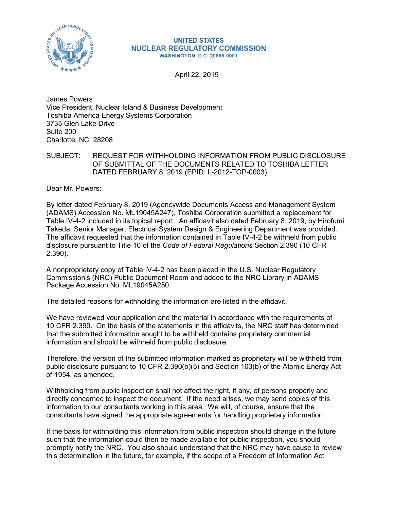

## **UNITED STATES NUCLEAR REGULATORY COMMISSION WASHINGTON, D.C. 20555-0001**

April 22, 2019

James Powers Vice President, Nuclear Island & Business Development Toshiba America Energy Systems Corporation 3735 Glen Lake Drive Suite 200 Charlotte, NC 28208

SUBJECT: REQUEST FOR WITHHOLDING INFORMATION FROM PUBLIC DISCLOSURE OF SUBMITTAL OF THE DOCUMENTS RELATED TO TOSHIBA LETTER DATED FEBRUARY 8, 2019 (EPID: L-2012-TOP-0003)

Dear Mr. Powers:

By letter dated February 8, 2019 (Agencywide Documents Access and Management System (ADAMS) Accession No. ML19045A247), Toshiba Corporation submitted a replacement for Table IV-4-2 included in its topical report. An affidavit also dated February 8, 2019, by Hirofumi Takeda, Senior Manager, Electrical System Design & Engineering Department was provided. The affidavit requested that the information contained in Table IV-4-2 be withheld from public disclosure pursuant to Title 10 of the *Code of Federal Regulations* Section 2.390 (10 CFR 2.390).

A nonproprietary copy of Table IV-4-2 has been placed in the U.S. Nuclear Regulatory Commission's (NRC) Public Document Room and added to the NRC Library in ADAMS Package Accession No. ML19045A250.

The detailed reasons for withholding the information are listed in the affidavit.

We have reviewed your application and the material in accordance with the requirements of 10 CFR 2.390. On the basis of the statements in the affidavits, the NRC staff has determined that the submitted information sought to be withheld contains proprietary commercial information and should be withheld from public disclosure.

Therefore, the version of the submitted information marked as proprietary will be withheld from public disclosure pursuant to 10 CFR 2.390(b)(5) and Section 103(b) of the Atomic Energy Act of 1954, as amended.

Withholding from public inspection shall not affect the right, if any, of persons properly and directly concerned to inspect the document. If the need arises, we may send copies of this information to our consultants working in this area. We will, of course, ensure that the consultants have signed the appropriate agreements for handling proprietary information.

If the basis for withholding this information from public inspection should change in the future such that the information could then be made available for public inspection, you should promptly notify the NRC. You also should understand that the NRC may have cause to review this determination in the future, for example, if the scope of a Freedom of Information Act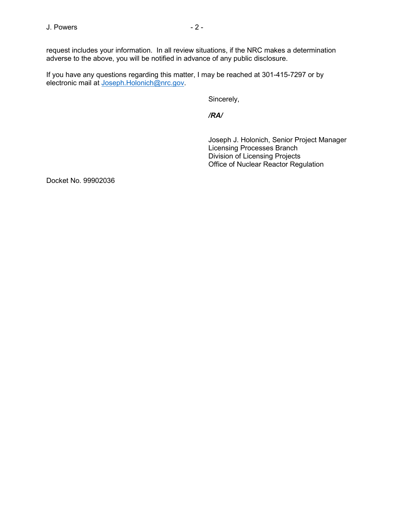request includes your information. In all review situations, if the NRC makes a determination adverse to the above, you will be notified in advance of any public disclosure.

If you have any questions regarding this matter, I may be reached at 301-415-7297 or by electronic mail at [Joseph.Holonich@nrc.gov.](mailto:Joseph.Holonich@nrc.gov)

Sincerely,

*/RA/*

Joseph J. Holonich, Senior Project Manager Licensing Processes Branch Division of Licensing Projects Office of Nuclear Reactor Regulation

Docket No. 99902036